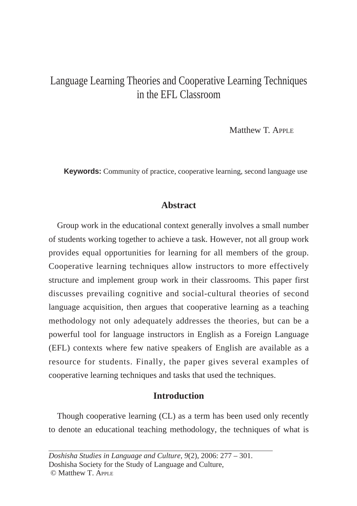# Language Learning Theories and Cooperative Learning Techniques in the EFL Classroom

Matthew T. APPLE

**Keywords:** Community of practice, cooperative learning, second language use

# **Abstract**

Group work in the educational context generally involves a small number of students working together to achieve a task. However, not all group work provides equal opportunities for learning for all members of the group. Cooperative learning techniques allow instructors to more effectively structure and implement group work in their classrooms. This paper first discusses prevailing cognitive and social-cultural theories of second language acquisition, then argues that cooperative learning as a teaching methodology not only adequately addresses the theories, but can be a powerful tool for language instructors in English as a Foreign Language (EFL) contexts where few native speakers of English are available as a resource for students. Finally, the paper gives several examples of cooperative learning techniques and tasks that used the techniques.

# **Introduction**

Though cooperative learning (CL) as a term has been used only recently to denote an educational teaching methodology, the techniques of what is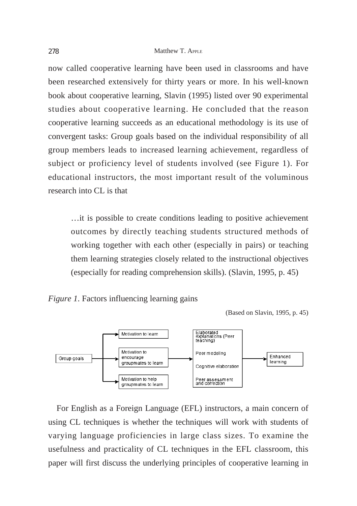now called cooperative learning have been used in classrooms and have been researched extensively for thirty years or more. In his well-known book about cooperative learning, Slavin (1995) listed over 90 experimental studies about cooperative learning. He concluded that the reason cooperative learning succeeds as an educational methodology is its use of convergent tasks: Group goals based on the individual responsibility of all group members leads to increased learning achievement, regardless of subject or proficiency level of students involved (see Figure 1). For educational instructors, the most important result of the voluminous research into CL is that

…it is possible to create conditions leading to positive achievement outcomes by directly teaching students structured methods of working together with each other (especially in pairs) or teaching them learning strategies closely related to the instructional objectives (especially for reading comprehension skills). (Slavin, 1995, p. 45)



(Based on Slavin, 1995, p. 45)



For English as a Foreign Language (EFL) instructors, a main concern of using CL techniques is whether the techniques will work with students of varying language proficiencies in large class sizes. To examine the usefulness and practicality of CL techniques in the EFL classroom, this paper will first discuss the underlying principles of cooperative learning in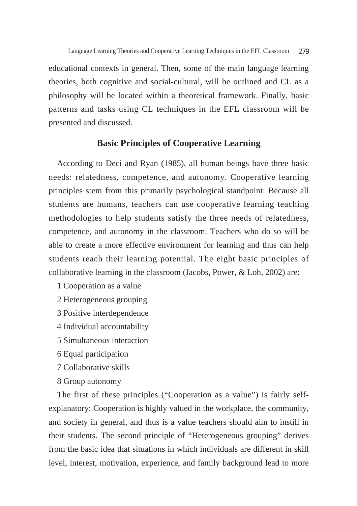educational contexts in general. Then, some of the main language learning theories, both cognitive and social-cultural, will be outlined and CL as a philosophy will be located within a theoretical framework. Finally, basic patterns and tasks using CL techniques in the EFL classroom will be presented and discussed.

# **Basic Principles of Cooperative Learning**

According to Deci and Ryan (1985), all human beings have three basic needs: relatedness, competence, and autonomy. Cooperative learning principles stem from this primarily psychological standpoint: Because all students are humans, teachers can use cooperative learning teaching methodologies to help students satisfy the three needs of relatedness, competence, and autonomy in the classroom. Teachers who do so will be able to create a more effective environment for learning and thus can help students reach their learning potential. The eight basic principles of collaborative learning in the classroom (Jacobs, Power, & Loh, 2002) are:

- 1 Cooperation as a value
- 2 Heterogeneous grouping
- 3 Positive interdependence
- 4 Individual accountability
- 5 Simultaneous interaction
- 6 Equal participation
- 7 Collaborative skills
- 8 Group autonomy

The first of these principles ("Cooperation as a value") is fairly selfexplanatory: Cooperation is highly valued in the workplace, the community, and society in general, and thus is a value teachers should aim to instill in their students. The second principle of "Heterogeneous grouping" derives from the basic idea that situations in which individuals are different in skill level, interest, motivation, experience, and family background lead to more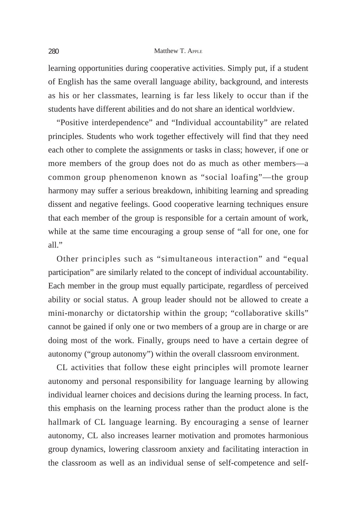learning opportunities during cooperative activities. Simply put, if a student of English has the same overall language ability, background, and interests as his or her classmates, learning is far less likely to occur than if the students have different abilities and do not share an identical worldview.

"Positive interdependence" and "Individual accountability" are related principles. Students who work together effectively will find that they need each other to complete the assignments or tasks in class; however, if one or more members of the group does not do as much as other members—a common group phenomenon known as "social loafing"—the group harmony may suffer a serious breakdown, inhibiting learning and spreading dissent and negative feelings. Good cooperative learning techniques ensure that each member of the group is responsible for a certain amount of work, while at the same time encouraging a group sense of "all for one, one for  $all$ ."

Other principles such as "simultaneous interaction" and "equal participation" are similarly related to the concept of individual accountability. Each member in the group must equally participate, regardless of perceived ability or social status. A group leader should not be allowed to create a mini-monarchy or dictatorship within the group; "collaborative skills" cannot be gained if only one or two members of a group are in charge or are doing most of the work. Finally, groups need to have a certain degree of autonomy ("group autonomy") within the overall classroom environment.

CL activities that follow these eight principles will promote learner autonomy and personal responsibility for language learning by allowing individual learner choices and decisions during the learning process. In fact, this emphasis on the learning process rather than the product alone is the hallmark of CL language learning. By encouraging a sense of learner autonomy, CL also increases learner motivation and promotes harmonious group dynamics, lowering classroom anxiety and facilitating interaction in the classroom as well as an individual sense of self-competence and self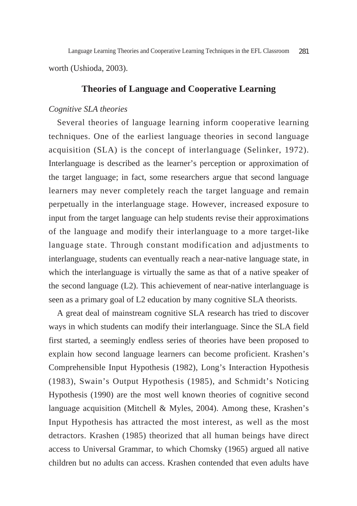worth (Ushioda, 2003). Language Learning Theories and Cooperative Learning Techniques in the EFL Classroom 281

# **Theories of Language and Cooperative Learning**

### *Cognitive SLA theories*

Several theories of language learning inform cooperative learning techniques. One of the earliest language theories in second language acquisition (SLA) is the concept of interlanguage (Selinker, 1972). Interlanguage is described as the learner's perception or approximation of the target language; in fact, some researchers argue that second language learners may never completely reach the target language and remain perpetually in the interlanguage stage. However, increased exposure to input from the target language can help students revise their approximations of the language and modify their interlanguage to a more target-like language state. Through constant modification and adjustments to interlanguage, students can eventually reach a near-native language state, in which the interlanguage is virtually the same as that of a native speaker of the second language (L2). This achievement of near-native interlanguage is seen as a primary goal of L2 education by many cognitive SLA theorists.

A great deal of mainstream cognitive SLA research has tried to discover ways in which students can modify their interlanguage. Since the SLA field first started, a seemingly endless series of theories have been proposed to explain how second language learners can become proficient. Krashen's Comprehensible Input Hypothesis (1982), Long's Interaction Hypothesis (1983), Swain's Output Hypothesis (1985), and Schmidt's Noticing Hypothesis (1990) are the most well known theories of cognitive second language acquisition (Mitchell & Myles, 2004). Among these, Krashen's Input Hypothesis has attracted the most interest, as well as the most detractors. Krashen (1985) theorized that all human beings have direct access to Universal Grammar, to which Chomsky (1965) argued all native children but no adults can access. Krashen contended that even adults have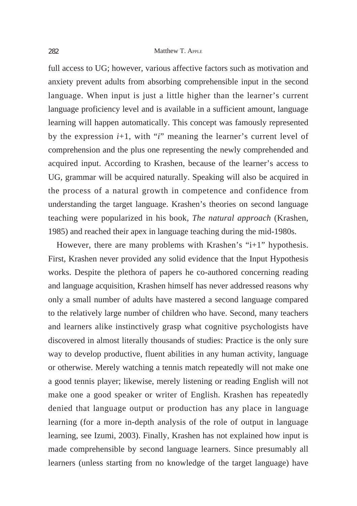#### 282 Matthew T. APPLE

full access to UG; however, various affective factors such as motivation and anxiety prevent adults from absorbing comprehensible input in the second language. When input is just a little higher than the learner's current language proficiency level and is available in a sufficient amount, language learning will happen automatically. This concept was famously represented by the expression *i*+1, with "*i*" meaning the learner's current level of comprehension and the plus one representing the newly comprehended and acquired input. According to Krashen, because of the learner's access to UG, grammar will be acquired naturally. Speaking will also be acquired in the process of a natural growth in competence and confidence from understanding the target language. Krashen's theories on second language teaching were popularized in his book, *The natural approach* (Krashen, 1985) and reached their apex in language teaching during the mid-1980s.

However, there are many problems with Krashen's "i+1" hypothesis. First, Krashen never provided any solid evidence that the Input Hypothesis works. Despite the plethora of papers he co-authored concerning reading and language acquisition, Krashen himself has never addressed reasons why only a small number of adults have mastered a second language compared to the relatively large number of children who have. Second, many teachers and learners alike instinctively grasp what cognitive psychologists have discovered in almost literally thousands of studies: Practice is the only sure way to develop productive, fluent abilities in any human activity, language or otherwise. Merely watching a tennis match repeatedly will not make one a good tennis player; likewise, merely listening or reading English will not make one a good speaker or writer of English. Krashen has repeatedly denied that language output or production has any place in language learning (for a more in-depth analysis of the role of output in language learning, see Izumi, 2003). Finally, Krashen has not explained how input is made comprehensible by second language learners. Since presumably all learners (unless starting from no knowledge of the target language) have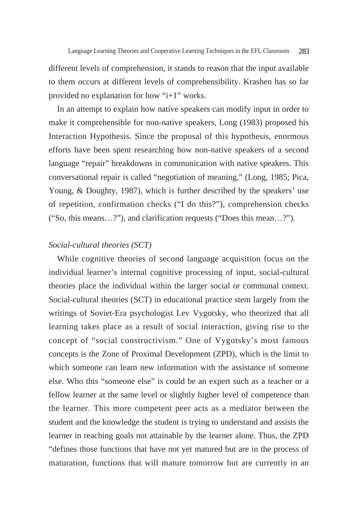different levels of comprehension, it stands to reason that the input available to them occurs at different levels of comprehensibility. Krashen has so far provided no explanation for how "i+1" works.

In an attempt to explain how native speakers can modify input in order to make it comprehensible for non-native speakers, Long (1983) proposed his Interaction Hypothesis. Since the proposal of this hypothesis, enormous efforts have been spent researching how non-native speakers of a second language "repair" breakdowns in communication with native speakers. This conversational repair is called "negotiation of meaning," (Long, 1985; Pica, Young, & Doughty, 1987), which is further described by the speakers' use of repetition, confirmation checks ("I do this?"), comprehension checks ("So, this means…?"), and clarification requests ("Does this mean…?").

### *Social-cultural theories (SCT)*

While cognitive theories of second language acquisition focus on the individual learner's internal cognitive processing of input, social-cultural theories place the individual within the larger social or communal context. Social-cultural theories (SCT) in educational practice stem largely from the writings of Soviet-Era psychologist Lev Vygotsky, who theorized that all learning takes place as a result of social interaction, giving rise to the concept of "social constructivism." One of Vygotsky's most famous concepts is the Zone of Proximal Development (ZPD), which is the limit to which someone can learn new information with the assistance of someone else. Who this "someone else" is could be an expert such as a teacher or a fellow learner at the same level or slightly higher level of competence than the learner. This more competent peer acts as a mediator between the student and the knowledge the student is trying to understand and assists the learner in reaching goals not attainable by the learner alone. Thus, the ZPD "defines those functions that have not yet matured but are in the process of maturation, functions that will mature tomorrow but are currently in an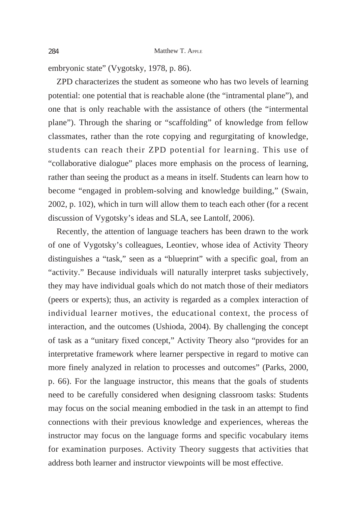embryonic state" (Vygotsky, 1978, p. 86).

ZPD characterizes the student as someone who has two levels of learning potential: one potential that is reachable alone (the "intramental plane"), and one that is only reachable with the assistance of others (the "intermental plane"). Through the sharing or "scaffolding" of knowledge from fellow classmates, rather than the rote copying and regurgitating of knowledge, students can reach their ZPD potential for learning. This use of "collaborative dialogue" places more emphasis on the process of learning, rather than seeing the product as a means in itself. Students can learn how to become "engaged in problem-solving and knowledge building," (Swain, 2002, p. 102), which in turn will allow them to teach each other (for a recent discussion of Vygotsky's ideas and SLA, see Lantolf, 2006).

Recently, the attention of language teachers has been drawn to the work of one of Vygotsky's colleagues, Leontiev, whose idea of Activity Theory distinguishes a "task," seen as a "blueprint" with a specific goal, from an "activity." Because individuals will naturally interpret tasks subjectively, they may have individual goals which do not match those of their mediators (peers or experts); thus, an activity is regarded as a complex interaction of individual learner motives, the educational context, the process of interaction, and the outcomes (Ushioda, 2004). By challenging the concept of task as a "unitary fixed concept," Activity Theory also "provides for an interpretative framework where learner perspective in regard to motive can more finely analyzed in relation to processes and outcomes" (Parks, 2000, p. 66). For the language instructor, this means that the goals of students need to be carefully considered when designing classroom tasks: Students may focus on the social meaning embodied in the task in an attempt to find connections with their previous knowledge and experiences, whereas the instructor may focus on the language forms and specific vocabulary items for examination purposes. Activity Theory suggests that activities that address both learner and instructor viewpoints will be most effective.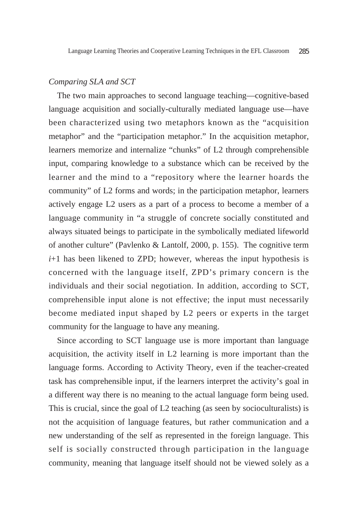### *Comparing SLA and SCT*

The two main approaches to second language teaching—cognitive-based language acquisition and socially-culturally mediated language use—have been characterized using two metaphors known as the "acquisition metaphor" and the "participation metaphor." In the acquisition metaphor, learners memorize and internalize "chunks" of L2 through comprehensible input, comparing knowledge to a substance which can be received by the learner and the mind to a "repository where the learner hoards the community" of L2 forms and words; in the participation metaphor, learners actively engage L2 users as a part of a process to become a member of a language community in "a struggle of concrete socially constituted and always situated beings to participate in the symbolically mediated lifeworld of another culture" (Pavlenko & Lantolf, 2000, p. 155). The cognitive term *i*+1 has been likened to ZPD; however, whereas the input hypothesis is concerned with the language itself, ZPD's primary concern is the individuals and their social negotiation. In addition, according to SCT, comprehensible input alone is not effective; the input must necessarily become mediated input shaped by L2 peers or experts in the target community for the language to have any meaning.

Since according to SCT language use is more important than language acquisition, the activity itself in L2 learning is more important than the language forms. According to Activity Theory, even if the teacher-created task has comprehensible input, if the learners interpret the activity's goal in a different way there is no meaning to the actual language form being used. This is crucial, since the goal of L2 teaching (as seen by socioculturalists) is not the acquisition of language features, but rather communication and a new understanding of the self as represented in the foreign language. This self is socially constructed through participation in the language community, meaning that language itself should not be viewed solely as a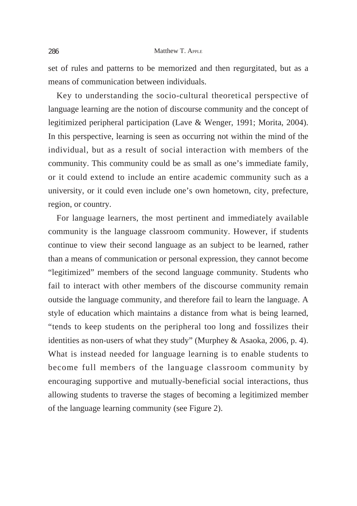set of rules and patterns to be memorized and then regurgitated, but as a means of communication between individuals.

Key to understanding the socio-cultural theoretical perspective of language learning are the notion of discourse community and the concept of legitimized peripheral participation (Lave & Wenger, 1991; Morita, 2004). In this perspective, learning is seen as occurring not within the mind of the individual, but as a result of social interaction with members of the community. This community could be as small as one's immediate family, or it could extend to include an entire academic community such as a university, or it could even include one's own hometown, city, prefecture, region, or country.

For language learners, the most pertinent and immediately available community is the language classroom community. However, if students continue to view their second language as an subject to be learned, rather than a means of communication or personal expression, they cannot become "legitimized" members of the second language community. Students who fail to interact with other members of the discourse community remain outside the language community, and therefore fail to learn the language. A style of education which maintains a distance from what is being learned, "tends to keep students on the peripheral too long and fossilizes their identities as non-users of what they study" (Murphey & Asaoka, 2006, p. 4). What is instead needed for language learning is to enable students to become full members of the language classroom community by encouraging supportive and mutually-beneficial social interactions, thus allowing students to traverse the stages of becoming a legitimized member of the language learning community (see Figure 2).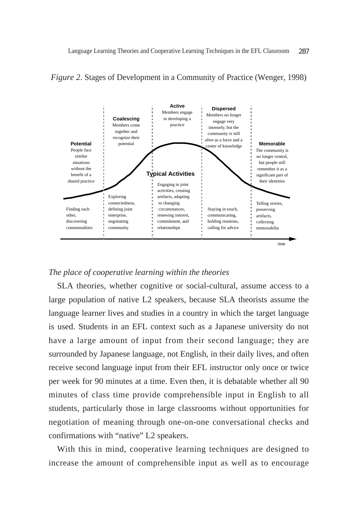

#### *Figure 2*. Stages of Development in a Community of Practice (Wenger, 1998)

#### *The place of cooperative learning within the theories*

SLA theories, whether cognitive or social-cultural, assume access to a large population of native L2 speakers, because SLA theorists assume the language learner lives and studies in a country in which the target language is used. Students in an EFL context such as a Japanese university do not have a large amount of input from their second language; they are surrounded by Japanese language, not English, in their daily lives, and often receive second language input from their EFL instructor only once or twice per week for 90 minutes at a time. Even then, it is debatable whether all 90 minutes of class time provide comprehensible input in English to all students, particularly those in large classrooms without opportunities for negotiation of meaning through one-on-one conversational checks and confirmations with "native" L2 speakers.

With this in mind, cooperative learning techniques are designed to increase the amount of comprehensible input as well as to encourage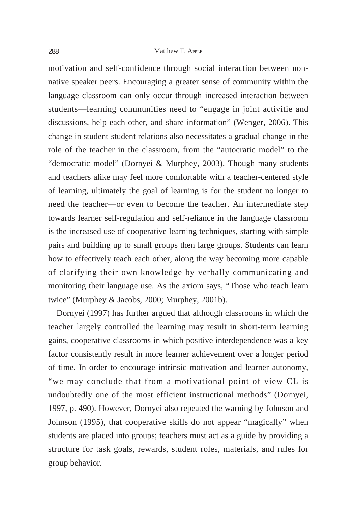motivation and self-confidence through social interaction between nonnative speaker peers. Encouraging a greater sense of community within the language classroom can only occur through increased interaction between students—learning communities need to "engage in joint activitie and discussions, help each other, and share information" (Wenger, 2006). This change in student-student relations also necessitates a gradual change in the role of the teacher in the classroom, from the "autocratic model" to the "democratic model" (Dornyei & Murphey, 2003). Though many students and teachers alike may feel more comfortable with a teacher-centered style of learning, ultimately the goal of learning is for the student no longer to need the teacher—or even to become the teacher. An intermediate step towards learner self-regulation and self-reliance in the language classroom is the increased use of cooperative learning techniques, starting with simple pairs and building up to small groups then large groups. Students can learn how to effectively teach each other, along the way becoming more capable of clarifying their own knowledge by verbally communicating and monitoring their language use. As the axiom says, "Those who teach learn twice" (Murphey & Jacobs, 2000; Murphey, 2001b).

Dornyei (1997) has further argued that although classrooms in which the teacher largely controlled the learning may result in short-term learning gains, cooperative classrooms in which positive interdependence was a key factor consistently result in more learner achievement over a longer period of time. In order to encourage intrinsic motivation and learner autonomy, "we may conclude that from a motivational point of view CL is undoubtedly one of the most efficient instructional methods" (Dornyei, 1997, p. 490). However, Dornyei also repeated the warning by Johnson and Johnson (1995), that cooperative skills do not appear "magically" when students are placed into groups; teachers must act as a guide by providing a structure for task goals, rewards, student roles, materials, and rules for group behavior.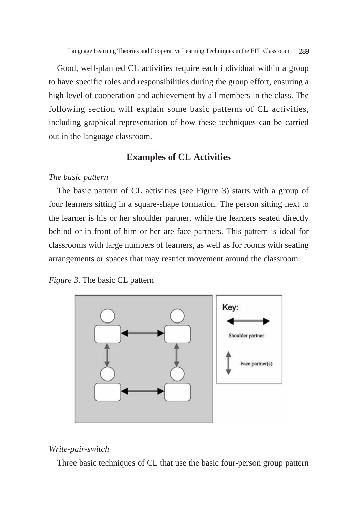Good, well-planned CL activities require each individual within a group to have specific roles and responsibilities during the group effort, ensuring a high level of cooperation and achievement by all members in the class. The following section will explain some basic patterns of CL activities, including graphical representation of how these techniques can be carried out in the language classroom.

# **Examples of CL Activities**

#### *The basic pattern*

The basic pattern of CL activities (see Figure 3) starts with a group of four learners sitting in a square-shape formation. The person sitting next to the learner is his or her shoulder partner, while the learners seated directly behind or in front of him or her are face partners. This pattern is ideal for classrooms with large numbers of learners, as well as for rooms with seating arrangements or spaces that may restrict movement around the classroom.

*Figure 3*. The basic CL pattern



#### *Write-pair-switch*

Three basic techniques of CL that use the basic four-person group pattern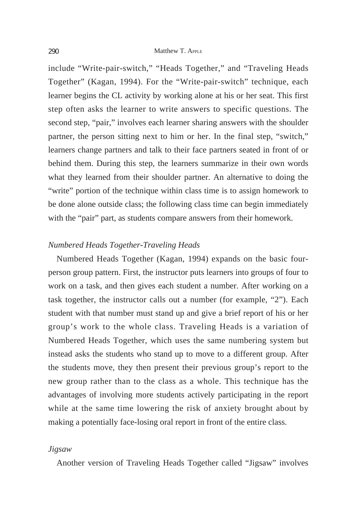include "Write-pair-switch," "Heads Together," and "Traveling Heads Together" (Kagan, 1994). For the "Write-pair-switch" technique, each learner begins the CL activity by working alone at his or her seat. This first step often asks the learner to write answers to specific questions. The second step, "pair," involves each learner sharing answers with the shoulder partner, the person sitting next to him or her. In the final step, "switch," learners change partners and talk to their face partners seated in front of or behind them. During this step, the learners summarize in their own words what they learned from their shoulder partner. An alternative to doing the "write" portion of the technique within class time is to assign homework to be done alone outside class; the following class time can begin immediately with the "pair" part, as students compare answers from their homework.

### *Numbered Heads Together-Traveling Heads*

Numbered Heads Together (Kagan, 1994) expands on the basic fourperson group pattern. First, the instructor puts learners into groups of four to work on a task, and then gives each student a number. After working on a task together, the instructor calls out a number (for example, "2"). Each student with that number must stand up and give a brief report of his or her group's work to the whole class. Traveling Heads is a variation of Numbered Heads Together, which uses the same numbering system but instead asks the students who stand up to move to a different group. After the students move, they then present their previous group's report to the new group rather than to the class as a whole. This technique has the advantages of involving more students actively participating in the report while at the same time lowering the risk of anxiety brought about by making a potentially face-losing oral report in front of the entire class.

#### *Jigsaw*

Another version of Traveling Heads Together called "Jigsaw" involves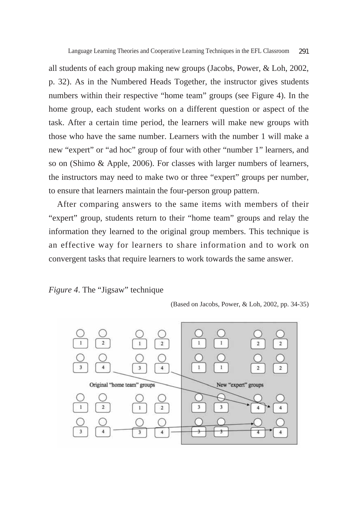all students of each group making new groups (Jacobs, Power, & Loh, 2002, p. 32). As in the Numbered Heads Together, the instructor gives students numbers within their respective "home team" groups (see Figure 4). In the home group, each student works on a different question or aspect of the task. After a certain time period, the learners will make new groups with those who have the same number. Learners with the number 1 will make a new "expert" or "ad hoc" group of four with other "number 1" learners, and so on (Shimo & Apple, 2006). For classes with larger numbers of learners, the instructors may need to make two or three "expert" groups per number, to ensure that learners maintain the four-person group pattern.

After comparing answers to the same items with members of their "expert" group, students return to their "home team" groups and relay the information they learned to the original group members. This technique is an effective way for learners to share information and to work on convergent tasks that require learners to work towards the same answer.

# *Figure 4*. The "Jigsaw" technique

<sup>(</sup>Based on Jacobs, Power, & Loh, 2002, pp. 34-35)

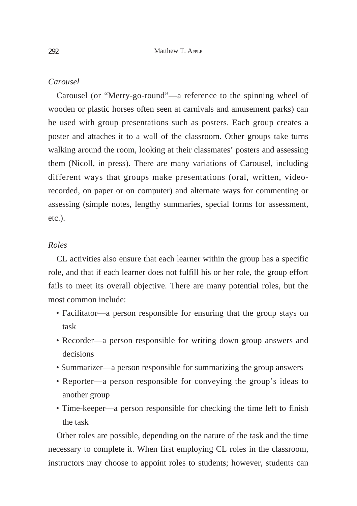### *Carousel*

Carousel (or "Merry-go-round"—a reference to the spinning wheel of wooden or plastic horses often seen at carnivals and amusement parks) can be used with group presentations such as posters. Each group creates a poster and attaches it to a wall of the classroom. Other groups take turns walking around the room, looking at their classmates' posters and assessing them (Nicoll, in press). There are many variations of Carousel, including different ways that groups make presentations (oral, written, videorecorded, on paper or on computer) and alternate ways for commenting or assessing (simple notes, lengthy summaries, special forms for assessment, etc.).

### *Roles*

CL activities also ensure that each learner within the group has a specific role, and that if each learner does not fulfill his or her role, the group effort fails to meet its overall objective. There are many potential roles, but the most common include:

- Facilitator—a person responsible for ensuring that the group stays on task
- Recorder—a person responsible for writing down group answers and decisions
- Summarizer—a person responsible for summarizing the group answers
- Reporter—a person responsible for conveying the group's ideas to another group
- Time-keeper—a person responsible for checking the time left to finish the task

Other roles are possible, depending on the nature of the task and the time necessary to complete it. When first employing CL roles in the classroom, instructors may choose to appoint roles to students; however, students can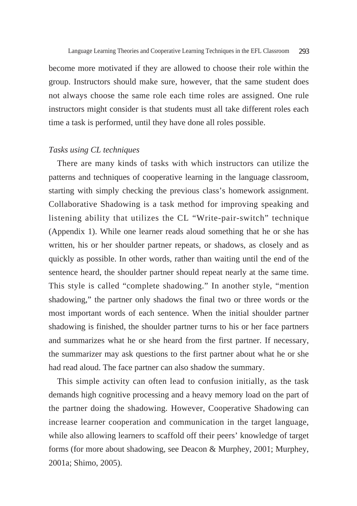become more motivated if they are allowed to choose their role within the group. Instructors should make sure, however, that the same student does not always choose the same role each time roles are assigned. One rule instructors might consider is that students must all take different roles each time a task is performed, until they have done all roles possible.

### *Tasks using CL techniques*

There are many kinds of tasks with which instructors can utilize the patterns and techniques of cooperative learning in the language classroom, starting with simply checking the previous class's homework assignment. Collaborative Shadowing is a task method for improving speaking and listening ability that utilizes the CL "Write-pair-switch" technique (Appendix 1). While one learner reads aloud something that he or she has written, his or her shoulder partner repeats, or shadows, as closely and as quickly as possible. In other words, rather than waiting until the end of the sentence heard, the shoulder partner should repeat nearly at the same time. This style is called "complete shadowing." In another style, "mention shadowing," the partner only shadows the final two or three words or the most important words of each sentence. When the initial shoulder partner shadowing is finished, the shoulder partner turns to his or her face partners and summarizes what he or she heard from the first partner. If necessary, the summarizer may ask questions to the first partner about what he or she had read aloud. The face partner can also shadow the summary.

This simple activity can often lead to confusion initially, as the task demands high cognitive processing and a heavy memory load on the part of the partner doing the shadowing. However, Cooperative Shadowing can increase learner cooperation and communication in the target language, while also allowing learners to scaffold off their peers' knowledge of target forms (for more about shadowing, see Deacon & Murphey, 2001; Murphey, 2001a; Shimo, 2005).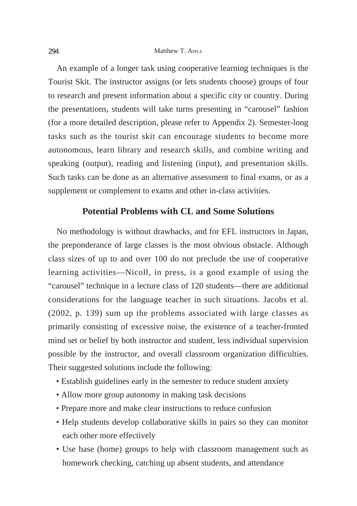An example of a longer task using cooperative learning techniques is the Tourist Skit. The instructor assigns (or lets students choose) groups of four to research and present information about a specific city or country. During the presentations, students will take turns presenting in "carousel" fashion (for a more detailed description, please refer to Appendix 2). Semester-long tasks such as the tourist skit can encourage students to become more autonomous, learn library and research skills, and combine writing and speaking (output), reading and listening (input), and presentation skills. Such tasks can be done as an alternative assessment to final exams, or as a supplement or complement to exams and other in-class activities.

# **Potential Problems with CL and Some Solutions**

No methodology is without drawbacks, and for EFL instructors in Japan, the preponderance of large classes is the most obvious obstacle. Although class sizes of up to and over 100 do not preclude the use of cooperative learning activities—Nicoll, in press, is a good example of using the "carousel" technique in a lecture class of 120 students—there are additional considerations for the language teacher in such situations. Jacobs et al. (2002, p. 139) sum up the problems associated with large classes as primarily consisting of excessive noise, the existence of a teacher-fronted mind set or belief by both instructor and student, less individual supervision possible by the instructor, and overall classroom organization difficulties. Their suggested solutions include the following:

- Establish guidelines early in the semester to reduce student anxiety
- Allow more group autonomy in making task decisions
- Prepare more and make clear instructions to reduce confusion
- Help students develop collaborative skills in pairs so they can monitor each other more effectively
- Use base (home) groups to help with classroom management such as homework checking, catching up absent students, and attendance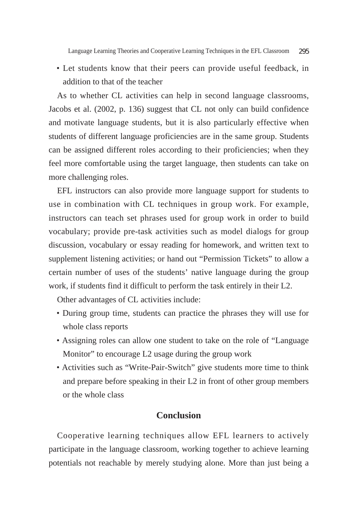• Let students know that their peers can provide useful feedback, in addition to that of the teacher

As to whether CL activities can help in second language classrooms, Jacobs et al. (2002, p. 136) suggest that CL not only can build confidence and motivate language students, but it is also particularly effective when students of different language proficiencies are in the same group. Students can be assigned different roles according to their proficiencies; when they feel more comfortable using the target language, then students can take on more challenging roles.

EFL instructors can also provide more language support for students to use in combination with CL techniques in group work. For example, instructors can teach set phrases used for group work in order to build vocabulary; provide pre-task activities such as model dialogs for group discussion, vocabulary or essay reading for homework, and written text to supplement listening activities; or hand out "Permission Tickets" to allow a certain number of uses of the students' native language during the group work, if students find it difficult to perform the task entirely in their L2.

Other advantages of CL activities include:

- During group time, students can practice the phrases they will use for whole class reports
- Assigning roles can allow one student to take on the role of "Language Monitor" to encourage L2 usage during the group work
- Activities such as "Write-Pair-Switch" give students more time to think and prepare before speaking in their L2 in front of other group members or the whole class

### **Conclusion**

Cooperative learning techniques allow EFL learners to actively participate in the language classroom, working together to achieve learning potentials not reachable by merely studying alone. More than just being a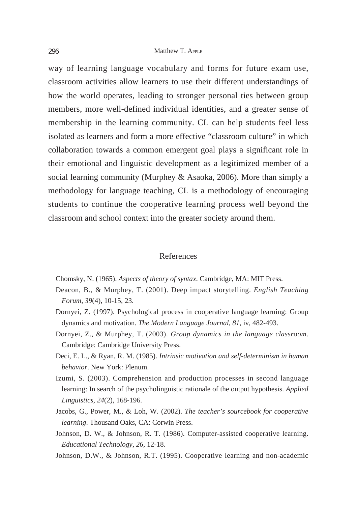way of learning language vocabulary and forms for future exam use, classroom activities allow learners to use their different understandings of how the world operates, leading to stronger personal ties between group members, more well-defined individual identities, and a greater sense of membership in the learning community. CL can help students feel less isolated as learners and form a more effective "classroom culture" in which collaboration towards a common emergent goal plays a significant role in their emotional and linguistic development as a legitimized member of a social learning community (Murphey & Asaoka, 2006). More than simply a methodology for language teaching, CL is a methodology of encouraging students to continue the cooperative learning process well beyond the classroom and school context into the greater society around them.

### References

- Chomsky, N. (1965). *Aspects of theory of syntax*. Cambridge, MA: MIT Press.
- Deacon, B., & Murphey, T. (2001). Deep impact storytelling. *English Teaching Forum, 39*(4), 10-15, 23.
- Dornyei, Z. (1997). Psychological process in cooperative language learning: Group dynamics and motivation. *The Modern Language Journal, 81*, iv, 482-493.
- Dornyei, Z., & Murphey, T. (2003). *Group dynamics in the language classroom*. Cambridge: Cambridge University Press.
- Deci, E. L., & Ryan, R. M. (1985). *Intrinsic motivation and self-determinism in human behavior*. New York: Plenum.
- Izumi, S. (2003). Comprehension and production processes in second language learning: In search of the psycholinguistic rationale of the output hypothesis. *Applied Linguistics, 24*(2), 168-196.
- Jacobs, G., Power, M., & Loh, W. (2002). *The teacher's sourcebook for cooperative learning*. Thousand Oaks, CA: Corwin Press.
- Johnson, D. W., & Johnson, R. T. (1986). Computer-assisted cooperative learning. *Educational Technology, 26*, 12-18.
- Johnson, D.W., & Johnson, R.T. (1995). Cooperative learning and non-academic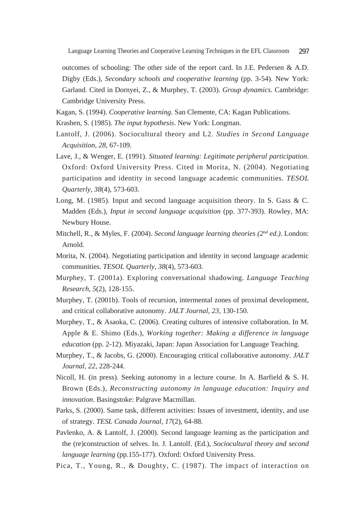outcomes of schooling: The other side of the report card. In J.E. Pedersen & A.D. Digby (Eds.), *Secondary schools and cooperative learning* (pp. 3-54). New York: Garland. Cited in Dornyei, Z., & Murphey, T. (2003). *Group dynamics.* Cambridge: Cambridge University Press.

- Kagan, S. (1994). *Cooperative learning*. San Clemente, CA: Kagan Publications.
- Krashen, S. (1985). *The input hypothesis*. New York: Longman.
- Lantolf, J. (2006). Sociocultural theory and L2. *Studies in Second Language Acquisition, 28*, 67-109.
- Lave, J., & Wenger, E. (1991). *Situated learning: Legitimate peripheral participation*. Oxford: Oxford University Press. Cited in Morita, N. (2004). Negotiating participation and identity in second language academic communities. *TESOL Quarterly, 38*(4), 573-603.
- Long, M. (1985). Input and second language acquisition theory. In S. Gass & C. Madden (Eds.), *Input in second language acquisition* (pp. 377-393). Rowley, MA: Newbury House.
- Mitchell, R., & Myles, F. (2004). *Second language learning theories (2nd ed.)*. London: Arnold.
- Morita, N. (2004). Negotiating participation and identity in second language academic communities. *TESOL Quarterly, 38*(4), 573-603.
- Murphey, T. (2001a). Exploring conversational shadowing. *Language Teaching Research, 5*(2), 128-155.
- Murphey, T. (2001b). Tools of recursion, intermental zones of proximal development, and critical collaborative autonomy. *JALT Journal, 23,* 130-150.
- Murphey, T., & Asaoka, C. (2006). Creating cultures of intensive collaboration. In M. Apple & E. Shimo (Eds.), *Working together: Making a difference in language education* (pp. 2-12). Miyazaki, Japan: Japan Association for Language Teaching.
- Murphey, T., & Jacobs, G. (2000). Encouraging critical collaborative autonomy. *JALT Journal, 22*, 228-244.
- Nicoll, H. (in press). Seeking autonomy in a lecture course. In A. Barfield & S. H. Brown (Eds.), *Reconstructing autonomy in language education: Inquiry and innovation*. Basingstoke: Palgrave Macmillan.
- Parks, S. (2000). Same task, different activities: Issues of investment, identity, and use of strategy. *TESL Canada Journal, 17*(2), 64-88.
- Pavlenko, A. & Lantolf, J. (2000). Second language learning as the participation and the (re)construction of selves. In. J. Lantolf. (Ed.), *Sociocultural theory and second language learning* (pp.155-177). Oxford: Oxford University Press.
- Pica, T., Young, R., & Doughty, C. (1987). The impact of interaction on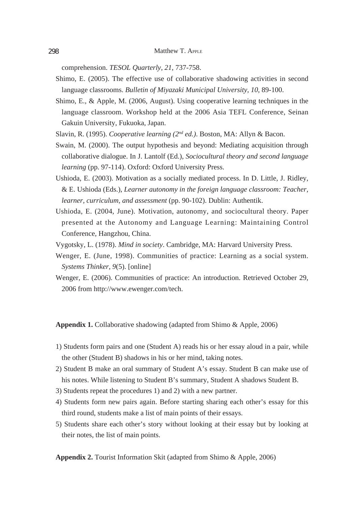comprehension. *TESOL Quarterly, 21*, 737-758.

- Shimo, E. (2005). The effective use of collaborative shadowing activities in second language classrooms. *Bulletin of Miyazaki Municipal University, 10*, 89-100.
- Shimo, E., & Apple, M. (2006, August). Using cooperative learning techniques in the language classroom. Workshop held at the 2006 Asia TEFL Conference, Seinan Gakuin University, Fukuoka, Japan.
- Slavin, R. (1995). *Cooperative learning (2nd ed.)*. Boston, MA: Allyn & Bacon.
- Swain, M. (2000). The output hypothesis and beyond: Mediating acquisition through collaborative dialogue. In J. Lantolf (Ed.), *Sociocultural theory and second language learning* (pp. 97-114). Oxford: Oxford University Press.
- Ushioda, E. (2003). Motivation as a socially mediated process. In D. Little, J. Ridley, & E. Ushioda (Eds.), *Learner autonomy in the foreign language classroom: Teacher, learner, curriculum, and assessment* (pp. 90-102). Dublin: Authentik.
- Ushioda, E. (2004, June). Motivation, autonomy, and sociocultural theory. Paper presented at the Autonomy and Language Learning: Maintaining Control Conference, Hangzhou, China.
- Vygotsky, L. (1978). *Mind in society*. Cambridge, MA: Harvard University Press.
- Wenger, E. (June, 1998). Communities of practice: Learning as a social system. *Systems Thinker, 9*(5). [online]
- Wenger, E. (2006). Communities of practice: An introduction. Retrieved October 29, 2006 from http://www.ewenger.com/tech.

**Appendix 1.** Collaborative shadowing (adapted from Shimo & Apple, 2006)

- 1) Students form pairs and one (Student A) reads his or her essay aloud in a pair, while the other (Student B) shadows in his or her mind, taking notes.
- 2) Student B make an oral summary of Student A's essay. Student B can make use of his notes. While listening to Student B's summary, Student A shadows Student B.
- 3) Students repeat the procedures 1) and 2) with a new partner.
- 4) Students form new pairs again. Before starting sharing each other's essay for this third round, students make a list of main points of their essays.
- 5) Students share each other's story without looking at their essay but by looking at their notes, the list of main points.

**Appendix 2.** Tourist Information Skit (adapted from Shimo & Apple, 2006)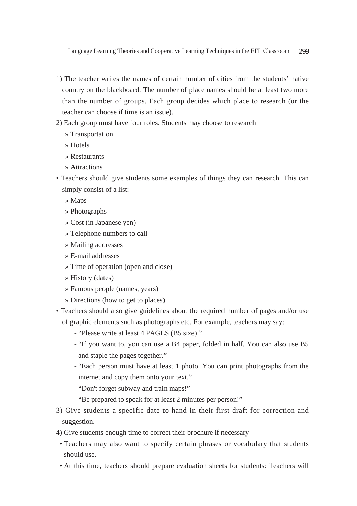- 1) The teacher writes the names of certain number of cities from the students' native country on the blackboard. The number of place names should be at least two more than the number of groups. Each group decides which place to research (or the teacher can choose if time is an issue).
- 2) Each group must have four roles. Students may choose to research
	- » Transportation
	- » Hotels
	- » Restaurants
	- » Attractions
- Teachers should give students some examples of things they can research. This can simply consist of a list:
	- » Maps
	- » Photographs
	- » Cost (in Japanese yen)
	- » Telephone numbers to call
	- » Mailing addresses
	- » E-mail addresses
	- » Time of operation (open and close)
	- » History (dates)
	- » Famous people (names, years)
	- » Directions (how to get to places)
- Teachers should also give guidelines about the required number of pages and/or use of graphic elements such as photographs etc. For example, teachers may say:
	- "Please write at least 4 PAGES (B5 size)."
	- "If you want to, you can use a B4 paper, folded in half. You can also use B5 and staple the pages together."
	- "Each person must have at least 1 photo. You can print photographs from the internet and copy them onto your text."
	- "Don't forget subway and train maps!"
	- "Be prepared to speak for at least 2 minutes per person!"
- 3) Give students a specific date to hand in their first draft for correction and suggestion.
- 4) Give students enough time to correct their brochure if necessary
- Teachers may also want to specify certain phrases or vocabulary that students should use.
- At this time, teachers should prepare evaluation sheets for students: Teachers will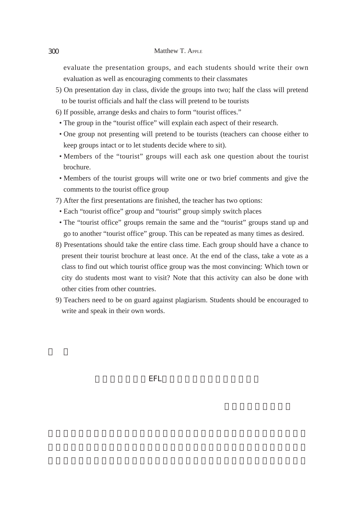evaluate the presentation groups, and each students should write their own evaluation as well as encouraging comments to their classmates

- 5) On presentation day in class, divide the groups into two; half the class will pretend to be tourist officials and half the class will pretend to be tourists
- 6) If possible, arrange desks and chairs to form "tourist offices."
- The group in the "tourist office" will explain each aspect of their research.
- One group not presenting will pretend to be tourists (teachers can choose either to keep groups intact or to let students decide where to sit).
- Members of the "tourist" groups will each ask one question about the tourist brochure.
- Members of the tourist groups will write one or two brief comments and give the comments to the tourist office group
- 7) After the first presentations are finished, the teacher has two options:
- Each "tourist office" group and "tourist" group simply switch places
- The "tourist office" groups remain the same and the "tourist" groups stand up and go to another "tourist office" group. This can be repeated as many times as desired.
- 8) Presentations should take the entire class time. Each group should have a chance to present their tourist brochure at least once. At the end of the class, take a vote as a class to find out which tourist office group was the most convincing: Which town or city do students most want to visit? Note that this activity can also be done with other cities from other countries.
- 9) Teachers need to be on guard against plagiarism. Students should be encouraged to write and speak in their own words.

言語学習理論とEFL教室における協同学習の技術